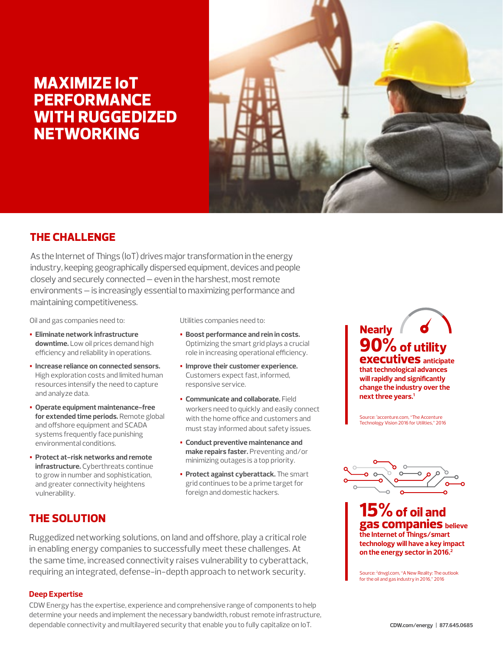# **MAXIMIZE IoT PERFORMANCE WITH RUGGEDIZED NETWORKING**



# **THE CHALLENGE**

As the Internet of Things (IoT) drives major transformation in the energy industry, keeping geographically dispersed equipment, devices and people closely and securely connected — even in the harshest, most remote environments — is increasingly essential to maximizing performance and maintaining competitiveness.

Oil and gas companies need to:

- **• Eliminate network infrastructure downtime.** Low oil prices demand high efficiency and reliability in operations.
- **• Increase reliance on connected sensors.**  High exploration costs and limited human resources intensify the need to capture and analyze data.
- **• Operate equipment maintenance-free for extended time periods.** Remote global and offshore equipment and SCADA systems frequently face punishing environmental conditions.
- **• Protect at-risk networks and remote infrastructure.** Cyberthreats continue to grow in number and sophistication, and greater connectivity heightens vulnerability.

Utilities companies need to:

- **• Boost performance and rein in costs.** Optimizing the smart grid plays a crucial role in increasing operational efficiency.
- **• Improve their customer experience.** Customers expect fast, informed, responsive service.
- **• Communicate and collaborate.** Field workers need to quickly and easily connect with the home office and customers and must stay informed about safety issues.
- **• Conduct preventive maintenance and make repairs faster.** Preventing and/or minimizing outages is a top priority.
- **• Protect against cyberattack.** The smart grid continues to be a prime target for foreign and domestic hackers.

# **THE SOLUTION**

Ruggedized networking solutions, on land and offshore, play a critical role in enabling energy companies to successfully meet these challenges. At the same time, increased connectivity raises vulnerability to cyberattack, requiring an integrated, defense-in-depth approach to network security.

### **Deep Expertise**

CDW Energy has the expertise, experience and comprehensive range of components to help determine your needs and implement the necessary bandwidth, robust remote infrastructure, dependable connectivity and multilayered security that enable you to fully capitalize on IoT.

**90% of utility executives anticipate that technological advances will rapidly and significantly change the industry over the next three years.1 Nearly**

Source: 1 accenture.com, "The Accenture Technology Vision 2016 for Utilities," 2016



**15% of oil and gas companies believe the Internet of Things/smart technology will have a key impact on the energy sector in 2016.2**

Source: 2 dnvgl.com, "A New Reality: The outlook for the oil and gas industry in 2016," 2016